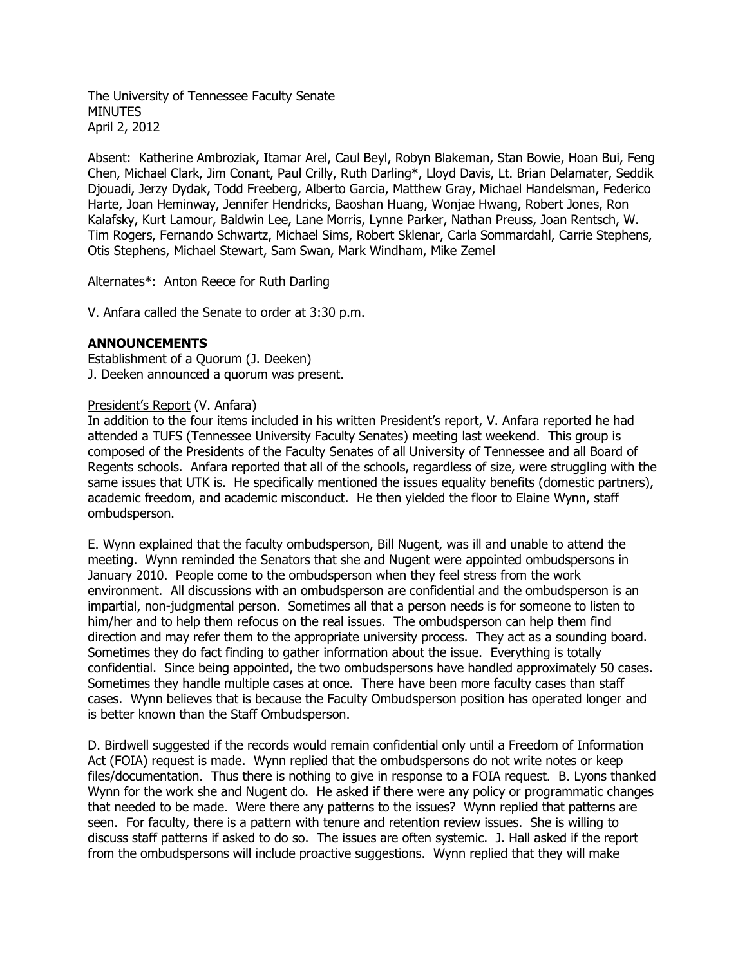The University of Tennessee Faculty Senate **MINUTES** April 2, 2012

Absent: Katherine Ambroziak, Itamar Arel, Caul Beyl, Robyn Blakeman, Stan Bowie, Hoan Bui, Feng Chen, Michael Clark, Jim Conant, Paul Crilly, Ruth Darling\*, Lloyd Davis, Lt. Brian Delamater, Seddik Djouadi, Jerzy Dydak, Todd Freeberg, Alberto Garcia, Matthew Gray, Michael Handelsman, Federico Harte, Joan Heminway, Jennifer Hendricks, Baoshan Huang, Wonjae Hwang, Robert Jones, Ron Kalafsky, Kurt Lamour, Baldwin Lee, Lane Morris, Lynne Parker, Nathan Preuss, Joan Rentsch, W. Tim Rogers, Fernando Schwartz, Michael Sims, Robert Sklenar, Carla Sommardahl, Carrie Stephens, Otis Stephens, Michael Stewart, Sam Swan, Mark Windham, Mike Zemel

Alternates\*: Anton Reece for Ruth Darling

V. Anfara called the Senate to order at 3:30 p.m.

## **ANNOUNCEMENTS**

Establishment of a Quorum (J. Deeken) J. Deeken announced a quorum was present.

### President's Report (V. Anfara)

In addition to the four items included in his written President's report, V. Anfara reported he had attended a TUFS (Tennessee University Faculty Senates) meeting last weekend. This group is composed of the Presidents of the Faculty Senates of all University of Tennessee and all Board of Regents schools. Anfara reported that all of the schools, regardless of size, were struggling with the same issues that UTK is. He specifically mentioned the issues equality benefits (domestic partners), academic freedom, and academic misconduct. He then yielded the floor to Elaine Wynn, staff ombudsperson.

E. Wynn explained that the faculty ombudsperson, Bill Nugent, was ill and unable to attend the meeting. Wynn reminded the Senators that she and Nugent were appointed ombudspersons in January 2010. People come to the ombudsperson when they feel stress from the work environment. All discussions with an ombudsperson are confidential and the ombudsperson is an impartial, non-judgmental person. Sometimes all that a person needs is for someone to listen to him/her and to help them refocus on the real issues. The ombudsperson can help them find direction and may refer them to the appropriate university process. They act as a sounding board. Sometimes they do fact finding to gather information about the issue. Everything is totally confidential. Since being appointed, the two ombudspersons have handled approximately 50 cases. Sometimes they handle multiple cases at once. There have been more faculty cases than staff cases. Wynn believes that is because the Faculty Ombudsperson position has operated longer and is better known than the Staff Ombudsperson.

D. Birdwell suggested if the records would remain confidential only until a Freedom of Information Act (FOIA) request is made. Wynn replied that the ombudspersons do not write notes or keep files/documentation. Thus there is nothing to give in response to a FOIA request. B. Lyons thanked Wynn for the work she and Nugent do. He asked if there were any policy or programmatic changes that needed to be made. Were there any patterns to the issues? Wynn replied that patterns are seen. For faculty, there is a pattern with tenure and retention review issues. She is willing to discuss staff patterns if asked to do so. The issues are often systemic. J. Hall asked if the report from the ombudspersons will include proactive suggestions. Wynn replied that they will make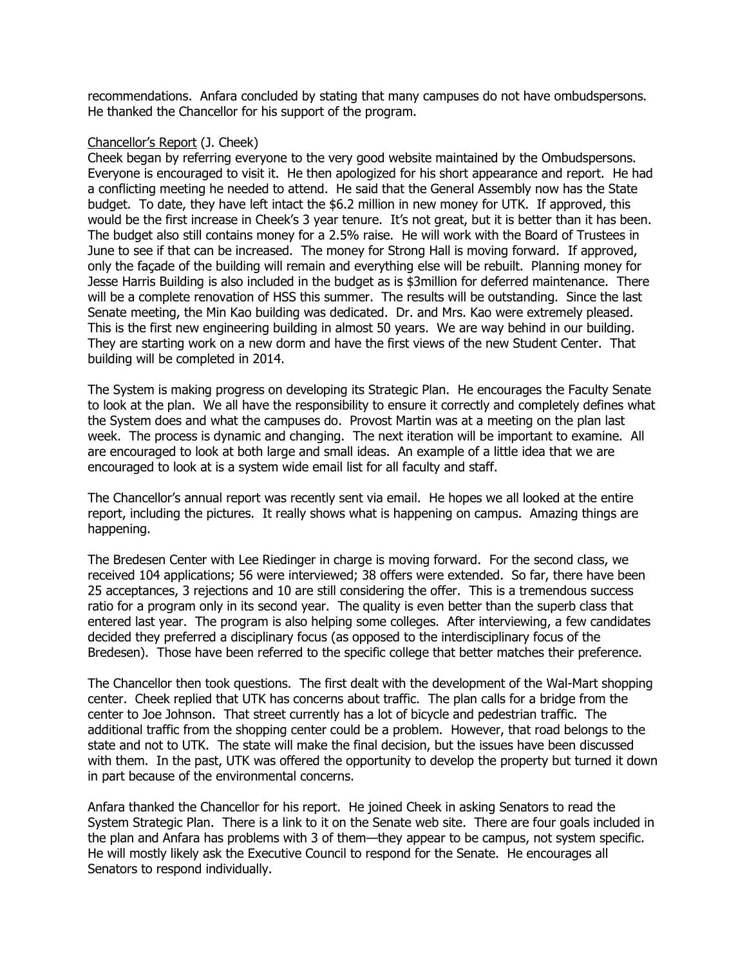recommendations. Anfara concluded by stating that many campuses do not have ombudspersons. He thanked the Chancellor for his support of the program.

#### Chancellor's Report (J. Cheek)

Cheek began by referring everyone to the very good website maintained by the Ombudspersons. Everyone is encouraged to visit it. He then apologized for his short appearance and report. He had a conflicting meeting he needed to attend. He said that the General Assembly now has the State budget. To date, they have left intact the \$6.2 million in new money for UTK. If approved, this would be the first increase in Cheek's 3 year tenure. It's not great, but it is better than it has been. The budget also still contains money for a 2.5% raise. He will work with the Board of Trustees in June to see if that can be increased. The money for Strong Hall is moving forward. If approved, only the façade of the building will remain and everything else will be rebuilt. Planning money for Jesse Harris Building is also included in the budget as is \$3million for deferred maintenance. There will be a complete renovation of HSS this summer. The results will be outstanding. Since the last Senate meeting, the Min Kao building was dedicated. Dr. and Mrs. Kao were extremely pleased. This is the first new engineering building in almost 50 years. We are way behind in our building. They are starting work on a new dorm and have the first views of the new Student Center. That building will be completed in 2014.

The System is making progress on developing its Strategic Plan. He encourages the Faculty Senate to look at the plan. We all have the responsibility to ensure it correctly and completely defines what the System does and what the campuses do. Provost Martin was at a meeting on the plan last week. The process is dynamic and changing. The next iteration will be important to examine. All are encouraged to look at both large and small ideas. An example of a little idea that we are encouraged to look at is a system wide email list for all faculty and staff.

The Chancellor's annual report was recently sent via email. He hopes we all looked at the entire report, including the pictures. It really shows what is happening on campus. Amazing things are happening.

The Bredesen Center with Lee Riedinger in charge is moving forward. For the second class, we received 104 applications; 56 were interviewed; 38 offers were extended. So far, there have been 25 acceptances, 3 rejections and 10 are still considering the offer. This is a tremendous success ratio for a program only in its second year. The quality is even better than the superb class that entered last year. The program is also helping some colleges. After interviewing, a few candidates decided they preferred a disciplinary focus (as opposed to the interdisciplinary focus of the Bredesen). Those have been referred to the specific college that better matches their preference.

The Chancellor then took questions. The first dealt with the development of the Wal-Mart shopping center. Cheek replied that UTK has concerns about traffic. The plan calls for a bridge from the center to Joe Johnson. That street currently has a lot of bicycle and pedestrian traffic. The additional traffic from the shopping center could be a problem. However, that road belongs to the state and not to UTK. The state will make the final decision, but the issues have been discussed with them. In the past, UTK was offered the opportunity to develop the property but turned it down in part because of the environmental concerns.

Anfara thanked the Chancellor for his report. He joined Cheek in asking Senators to read the System Strategic Plan. There is a link to it on the Senate web site. There are four goals included in the plan and Anfara has problems with 3 of them—they appear to be campus, not system specific. He will mostly likely ask the Executive Council to respond for the Senate. He encourages all Senators to respond individually.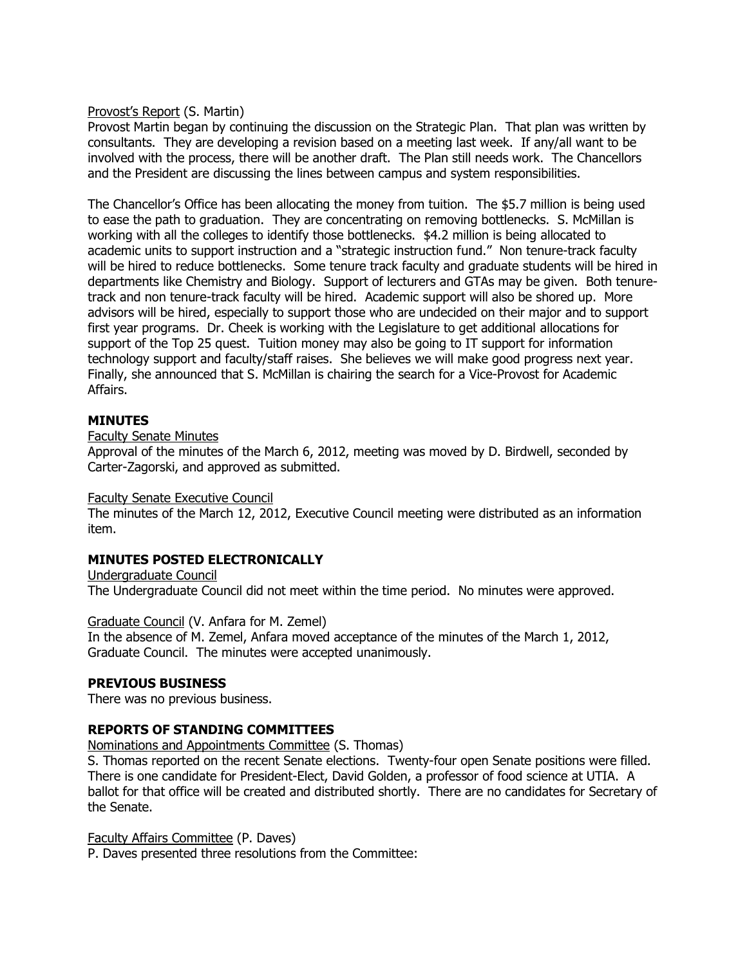### Provost's Report (S. Martin)

Provost Martin began by continuing the discussion on the Strategic Plan. That plan was written by consultants. They are developing a revision based on a meeting last week. If any/all want to be involved with the process, there will be another draft. The Plan still needs work. The Chancellors and the President are discussing the lines between campus and system responsibilities.

The Chancellor's Office has been allocating the money from tuition. The \$5.7 million is being used to ease the path to graduation. They are concentrating on removing bottlenecks. S. McMillan is working with all the colleges to identify those bottlenecks. \$4.2 million is being allocated to academic units to support instruction and a "strategic instruction fund." Non tenure-track faculty will be hired to reduce bottlenecks. Some tenure track faculty and graduate students will be hired in departments like Chemistry and Biology. Support of lecturers and GTAs may be given. Both tenuretrack and non tenure-track faculty will be hired. Academic support will also be shored up. More advisors will be hired, especially to support those who are undecided on their major and to support first year programs. Dr. Cheek is working with the Legislature to get additional allocations for support of the Top 25 quest. Tuition money may also be going to IT support for information technology support and faculty/staff raises. She believes we will make good progress next year. Finally, she announced that S. McMillan is chairing the search for a Vice-Provost for Academic Affairs.

## **MINUTES**

Faculty Senate Minutes

Approval of the minutes of the March 6, 2012, meeting was moved by D. Birdwell, seconded by Carter-Zagorski, and approved as submitted.

### Faculty Senate Executive Council

The minutes of the March 12, 2012, Executive Council meeting were distributed as an information item.

# **MINUTES POSTED ELECTRONICALLY**

Undergraduate Council The Undergraduate Council did not meet within the time period. No minutes were approved.

### Graduate Council (V. Anfara for M. Zemel)

In the absence of M. Zemel, Anfara moved acceptance of the minutes of the March 1, 2012, Graduate Council. The minutes were accepted unanimously.

### **PREVIOUS BUSINESS**

There was no previous business.

### **REPORTS OF STANDING COMMITTEES**

Nominations and Appointments Committee (S. Thomas)

S. Thomas reported on the recent Senate elections. Twenty-four open Senate positions were filled. There is one candidate for President-Elect, David Golden, a professor of food science at UTIA. A ballot for that office will be created and distributed shortly. There are no candidates for Secretary of the Senate.

### Faculty Affairs Committee (P. Daves)

P. Daves presented three resolutions from the Committee: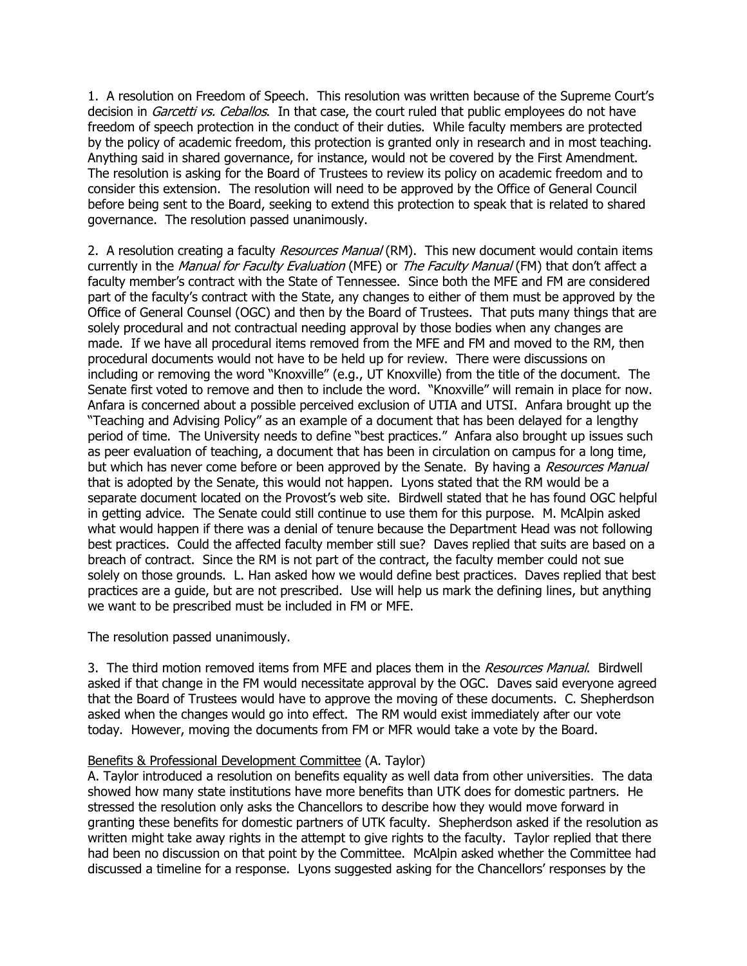1. A resolution on Freedom of Speech. This resolution was written because of the Supreme Court's decision in *Garcetti vs. Ceballos*. In that case, the court ruled that public employees do not have freedom of speech protection in the conduct of their duties. While faculty members are protected by the policy of academic freedom, this protection is granted only in research and in most teaching. Anything said in shared governance, for instance, would not be covered by the First Amendment. The resolution is asking for the Board of Trustees to review its policy on academic freedom and to consider this extension. The resolution will need to be approved by the Office of General Council before being sent to the Board, seeking to extend this protection to speak that is related to shared governance. The resolution passed unanimously.

2. A resolution creating a faculty Resources Manual (RM). This new document would contain items currently in the Manual for Faculty Evaluation (MFE) or The Faculty Manual (FM) that don't affect a faculty member's contract with the State of Tennessee. Since both the MFE and FM are considered part of the faculty's contract with the State, any changes to either of them must be approved by the Office of General Counsel (OGC) and then by the Board of Trustees. That puts many things that are solely procedural and not contractual needing approval by those bodies when any changes are made. If we have all procedural items removed from the MFE and FM and moved to the RM, then procedural documents would not have to be held up for review. There were discussions on including or removing the word "Knoxville" (e.g., UT Knoxville) from the title of the document. The Senate first voted to remove and then to include the word. "Knoxville" will remain in place for now. Anfara is concerned about a possible perceived exclusion of UTIA and UTSI. Anfara brought up the "Teaching and Advising Policy" as an example of a document that has been delayed for a lengthy period of time. The University needs to define "best practices." Anfara also brought up issues such as peer evaluation of teaching, a document that has been in circulation on campus for a long time, but which has never come before or been approved by the Senate. By having a *Resources Manual* that is adopted by the Senate, this would not happen. Lyons stated that the RM would be a separate document located on the Provost's web site. Birdwell stated that he has found OGC helpful in getting advice. The Senate could still continue to use them for this purpose. M. McAlpin asked what would happen if there was a denial of tenure because the Department Head was not following best practices. Could the affected faculty member still sue? Daves replied that suits are based on a breach of contract. Since the RM is not part of the contract, the faculty member could not sue solely on those grounds. L. Han asked how we would define best practices. Daves replied that best practices are a guide, but are not prescribed. Use will help us mark the defining lines, but anything we want to be prescribed must be included in FM or MFE.

The resolution passed unanimously.

3. The third motion removed items from MFE and places them in the Resources Manual. Birdwell asked if that change in the FM would necessitate approval by the OGC. Daves said everyone agreed that the Board of Trustees would have to approve the moving of these documents. C. Shepherdson asked when the changes would go into effect. The RM would exist immediately after our vote today. However, moving the documents from FM or MFR would take a vote by the Board.

### Benefits & Professional Development Committee (A. Taylor)

A. Taylor introduced a resolution on benefits equality as well data from other universities. The data showed how many state institutions have more benefits than UTK does for domestic partners. He stressed the resolution only asks the Chancellors to describe how they would move forward in granting these benefits for domestic partners of UTK faculty. Shepherdson asked if the resolution as written might take away rights in the attempt to give rights to the faculty. Taylor replied that there had been no discussion on that point by the Committee. McAlpin asked whether the Committee had discussed a timeline for a response. Lyons suggested asking for the Chancellors' responses by the